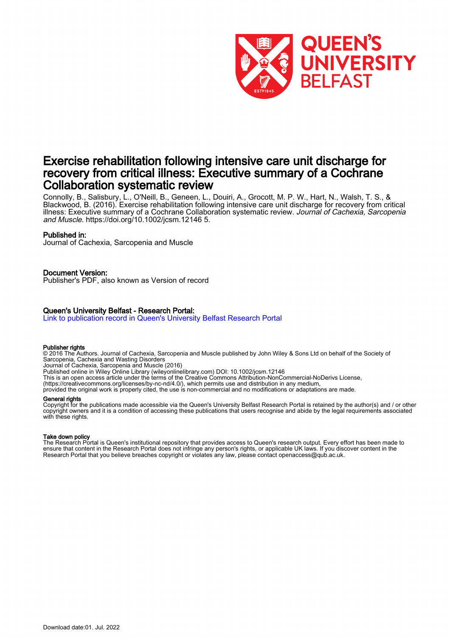

## Exercise rehabilitation following intensive care unit discharge for recovery from critical illness: Executive summary of a Cochrane Collaboration systematic review

Connolly, B., Salisbury, L., O'Neill, B., Geneen, L., Douiri, A., Grocott, M. P. W., Hart, N., Walsh, T. S., & Blackwood, B. (2016). Exercise rehabilitation following intensive care unit discharge for recovery from critical illness: Executive summary of a Cochrane Collaboration systematic review. Journal of Cachexia, Sarcopenia and Muscle. <https://doi.org/10.1002/jcsm.12146 5.>

#### Published in:

Journal of Cachexia, Sarcopenia and Muscle

### Document Version:

Publisher's PDF, also known as Version of record

#### Queen's University Belfast - Research Portal:

[Link to publication record in Queen's University Belfast Research Portal](https://pure.qub.ac.uk/en/publications/8dd78b85-6d72-4ec2-ace0-770436d84dc5)

#### Publisher rights

© 2016 The Authors. Journal of Cachexia, Sarcopenia and Muscle published by John Wiley & Sons Ltd on behalf of the Society of Sarcopenia, Cachexia and Wasting Disorders

Journal of Cachexia, Sarcopenia and Muscle (2016)

Published online in Wiley Online Library (wileyonlinelibrary.com) DOI: 10.1002/jcsm.12146

This is an open access article under the terms of the Creative Commons Attribution-NonCommercial-NoDerivs License,

(https://creativecommons.org/licenses/by-nc-nd/4.0/), which permits use and distribution in any medium,

provided the original work is properly cited, the use is non-commercial and no modifications or adaptations are made.

#### General rights

Copyright for the publications made accessible via the Queen's University Belfast Research Portal is retained by the author(s) and / or other copyright owners and it is a condition of accessing these publications that users recognise and abide by the legal requirements associated with these rights.

#### Take down policy

The Research Portal is Queen's institutional repository that provides access to Queen's research output. Every effort has been made to ensure that content in the Research Portal does not infringe any person's rights, or applicable UK laws. If you discover content in the Research Portal that you believe breaches copyright or violates any law, please contact openaccess@qub.ac.uk.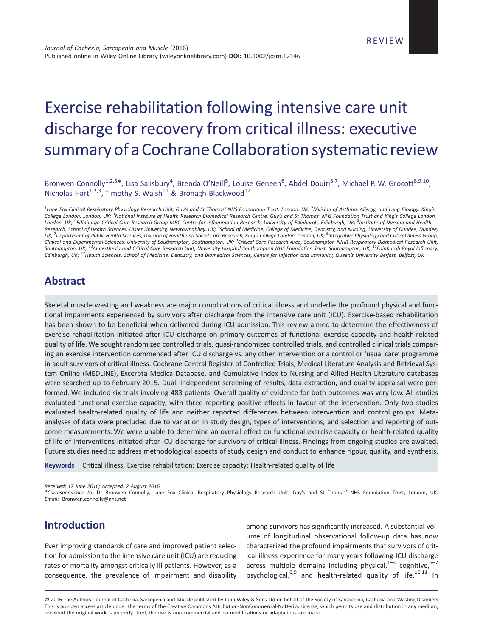REVIEW

# Exercise rehabilitation following intensive care unit discharge for recovery from critical illness: executive summary of a Cochrane Collaboration systematic review

Bronwen Connolly<sup>1,2,3\*</sup>, Lisa Salisbury<sup>4</sup>, Brenda O'Neill<sup>5</sup>, Louise Geneen<sup>6</sup>, Abdel Douiri<sup>3,7</sup>, Michael P. W. Grocott<sup>8,9,10</sup>, Nicholas Hart<sup>1,2,3</sup>, Timothy S. Walsh<sup>11</sup> & Bronagh Blackwood<sup>12</sup>

<sup>1</sup>Lane Fox Clinical Respiratory Physiology Research Unit, Guy's and St Thomas' NHS Foundation Trust, London, UK; <sup>2</sup>Division of Asthma, Allergy, and Lung Biology, King's College London, London, UK; <sup>3</sup>National Institute of Health Research Biomedical Research Centre, Guy's and St Thomas' NHS Foundation Trust and King's College London, London, UK; <sup>4</sup>Edinburgh Critical Care Research Group MRC Centre for Inflammation Research, University of Edinburgh, Edinburgh, UK; <sup>5</sup>Institute of Nursing and Health Research, School of Health Sciences, Ulster University, Newtownabbey, UK; <sup>6</sup>School of Medicine, College of Medicine, Dentistry, and Nursing, University of Dundee, Dundee, UK; <sup>7</sup>Department of Public Health Sciences, Division of Health and Social Care Research, King's College London, London, UK; <sup>8</sup>Integrative Physiology and Critical Illness Group, Clinical and Experimental Sciences, University of Southampton, Southampton, UK; <sup>9</sup>Critical Care Research Area, Southampton NIHR Respiratory Biomedical Research Unit,<br>Southampton, UK; <sup>10</sup>Anaesthesia and Critical Care Rese Edinburgh, UK; <sup>12</sup>Health Sciences, School of Medicine, Dentistry, and Biomedical Sciences, Centre for Infection and Immunity, Queen's University Belfast, Belfast, UK

### Abstract

Skeletal muscle wasting and weakness are major complications of critical illness and underlie the profound physical and functional impairments experienced by survivors after discharge from the intensive care unit (ICU). Exercise-based rehabilitation has been shown to be beneficial when delivered during ICU admission. This review aimed to determine the effectiveness of exercise rehabilitation initiated after ICU discharge on primary outcomes of functional exercise capacity and health-related quality of life. We sought randomized controlled trials, quasi-randomized controlled trials, and controlled clinical trials comparing an exercise intervention commenced after ICU discharge vs. any other intervention or a control or 'usual care' programme in adult survivors of critical illness. Cochrane Central Register of Controlled Trials, Medical Literature Analysis and Retrieval System Online (MEDLINE), Excerpta Medica Database, and Cumulative Index to Nursing and Allied Health Literature databases were searched up to February 2015. Dual, independent screening of results, data extraction, and quality appraisal were performed. We included six trials involving 483 patients. Overall quality of evidence for both outcomes was very low. All studies evaluated functional exercise capacity, with three reporting positive effects in favour of the intervention. Only two studies evaluated health-related quality of life and neither reported differences between intervention and control groups. Metaanalyses of data were precluded due to variation in study design, types of interventions, and selection and reporting of outcome measurements. We were unable to determine an overall effect on functional exercise capacity or health-related quality of life of interventions initiated after ICU discharge for survivors of critical illness. Findings from ongoing studies are awaited. Future studies need to address methodological aspects of study design and conduct to enhance rigour, quality, and synthesis.

Keywords Critical illness; Exercise rehabilitation; Exercise capacity; Health-related quality of life

Received: 17 June 2016; Accepted: 2 August 2016

\*Correspondence to: Dr Bronwen Connolly, Lane Fox Clinical Respiratory Physiology Research Unit, Guy's and St Thomas' NHS Foundation Trust, London, UK. Email: Bronwen.connolly@nhs.net

### Introduction

Ever improving standards of care and improved patient selection for admission to the intensive care unit (ICU) are reducing rates of mortality amongst critically ill patients. However, as a consequence, the prevalence of impairment and disability

among survivors has significantly increased. A substantial volume of longitudinal observational follow-up data has now characterized the profound impairments that survivors of critical illness experience for many years following ICU discharge across multiple domains including physical, $1-4$  cognitive, $5-7$ psychological,<sup>8,9</sup> and health-related quality of life.<sup>10,11</sup> In

<sup>© 2016</sup> The Authors. Journal of Cachexia, Sarcopenia and Muscle published by John Wiley & Sons Ltd on behalf of the Society of Sarcopenia, Cachexia and Wasting Disorders This is an open access article under the terms of the [Creative Commons Attribution-NonCommercial-NoDerivs](http://creativecommons.org/licenses/by-nc-nd/4.0/) License, which permits use and distribution in any medium, provided the original work is properly cited, the use is non-commercial and no modifications or adaptations are made.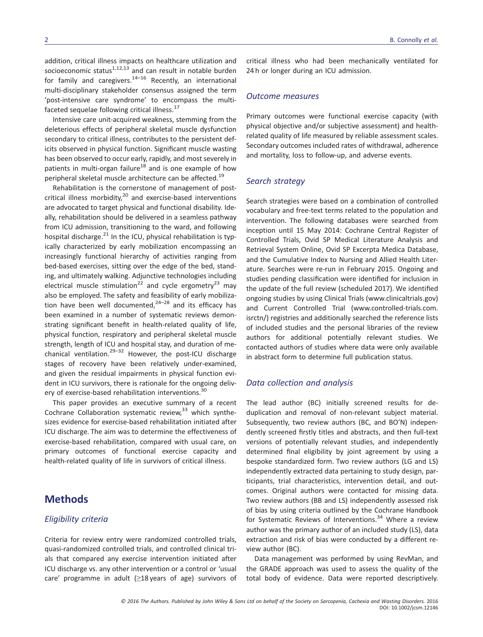addition, critical illness impacts on healthcare utilization and socioeconomic status $1,12,13$  and can result in notable burden for family and caregivers.<sup>14–16</sup> Recently, an international multi-disciplinary stakeholder consensus assigned the term 'post-intensive care syndrome' to encompass the multifaceted sequelae following critical illness.<sup>17</sup>

Intensive care unit-acquired weakness, stemming from the deleterious effects of peripheral skeletal muscle dysfunction secondary to critical illness, contributes to the persistent deficits observed in physical function. Significant muscle wasting has been observed to occur early, rapidly, and most severely in patients in multi-organ failure<sup>18</sup> and is one example of how peripheral skeletal muscle architecture can be affected.<sup>19</sup>

Rehabilitation is the cornerstone of management of postcritical illness morbidity, $20$  and exercise-based interventions are advocated to target physical and functional disability. Ideally, rehabilitation should be delivered in a seamless pathway from ICU admission, transitioning to the ward, and following hospital discharge.<sup>21</sup> In the ICU, physical rehabilitation is typically characterized by early mobilization encompassing an increasingly functional hierarchy of activities ranging from bed-based exercises, sitting over the edge of the bed, standing, and ultimately walking. Adjunctive technologies including electrical muscle stimulation<sup>22</sup> and cycle ergometry<sup>23</sup> may also be employed. The safety and feasibility of early mobilization have been well documented, $24-28$  and its efficacy has been examined in a number of systematic reviews demonstrating significant benefit in health-related quality of life, physical function, respiratory and peripheral skeletal muscle strength, length of ICU and hospital stay, and duration of mechanical ventilation.<sup>29–32</sup> However, the post-ICU discharge stages of recovery have been relatively under-examined, and given the residual impairments in physical function evident in ICU survivors, there is rationale for the ongoing delivery of exercise-based rehabilitation interventions.<sup>30</sup>

This paper provides an executive summary of a recent Cochrane Collaboration systematic review, $33$  which synthesizes evidence for exercise-based rehabilitation initiated after ICU discharge. The aim was to determine the effectiveness of exercise-based rehabilitation, compared with usual care, on primary outcomes of functional exercise capacity and health-related quality of life in survivors of critical illness.

### **Methods**

#### Eligibility criteria

Criteria for review entry were randomized controlled trials, quasi-randomized controlled trials, and controlled clinical trials that compared any exercise intervention initiated after ICU discharge vs. any other intervention or a control or 'usual care' programme in adult (≥18 years of age) survivors of critical illness who had been mechanically ventilated for 24 h or longer during an ICU admission.

#### Outcome measures

Primary outcomes were functional exercise capacity (with physical objective and/or subjective assessment) and healthrelated quality of life measured by reliable assessment scales. Secondary outcomes included rates of withdrawal, adherence and mortality, loss to follow-up, and adverse events.

#### Search strategy

Search strategies were based on a combination of controlled vocabulary and free-text terms related to the population and intervention. The following databases were searched from inception until 15 May 2014: Cochrane Central Register of Controlled Trials, Ovid SP Medical Literature Analysis and Retrieval System Online, Ovid SP Excerpta Medica Database, and the Cumulative Index to Nursing and Allied Health Literature. Searches were re-run in February 2015. Ongoing and studies pending classification were identified for inclusion in the update of the full review (scheduled 2017). We identified ongoing studies by using Clinical Trials ([www.clinicaltrials.gov\)](http://www.clinicaltrials.gov) and Current Controlled Trial ([www.controlled-trials.com.](http://www.controlled-trials.com.isrctn) [isrctn](http://www.controlled-trials.com.isrctn)/) registries and additionally searched the reference lists of included studies and the personal libraries of the review authors for additional potentially relevant studies. We contacted authors of studies where data were only available in abstract form to determine full publication status.

#### Data collection and analysis

The lead author (BC) initially screened results for deduplication and removal of non-relevant subject material. Subsequently, two review authors (BC, and BO'N) independently screened firstly titles and abstracts, and then full-text versions of potentially relevant studies, and independently determined final eligibility by joint agreement by using a bespoke standardized form. Two review authors (LG and LS) independently extracted data pertaining to study design, participants, trial characteristics, intervention detail, and outcomes. Original authors were contacted for missing data. Two review authors (BB and LS) independently assessed risk of bias by using criteria outlined by the Cochrane Handbook for Systematic Reviews of Interventions.<sup>34</sup> Where a review author was the primary author of an included study (LS), data extraction and risk of bias were conducted by a different review author (BC).

Data management was performed by using RevMan, and the GRADE approach was used to assess the quality of the total body of evidence. Data were reported descriptively.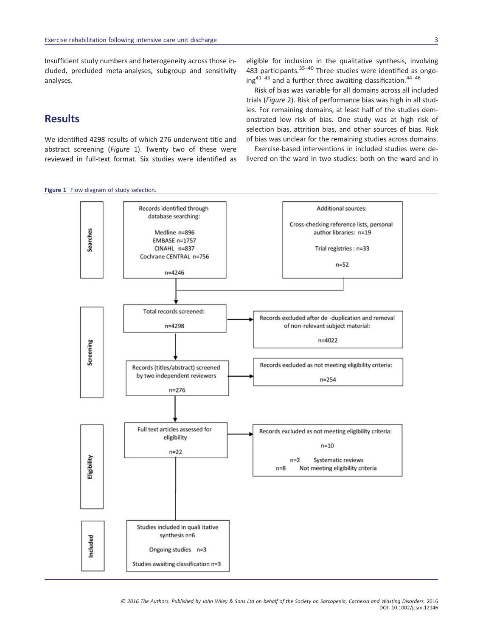Insufficient study numbers and heterogeneity across those included, precluded meta-analyses, subgroup and sensitivity analyses.

### **Results**

We identified 4298 results of which 276 underwent title and abstract screening (Figure 1). Twenty two of these were reviewed in full-text format. Six studies were identified as

eligible for inclusion in the qualitative synthesis, involving 483 participants.<sup>35-40</sup> Three studies were identified as ongo $ing^{41-43}$  and a further three awaiting classification.<sup>44-46</sup>

Risk of bias was variable for all domains across all included trials (Figure 2). Risk of performance bias was high in all studies. For remaining domains, at least half of the studies demonstrated low risk of bias. One study was at high risk of selection bias, attrition bias, and other sources of bias. Risk of bias was unclear for the remaining studies across domains.

Exercise-based interventions in included studies were delivered on the ward in two studies: both on the ward and in



<sup>© 2016</sup> The Authors. Published by John Wiley & Sons Ltd on behalf of the Society on Sarcopenia, Cachexia and Wasting Disorders. 2016 DOI: 10.1002/jcsm.12146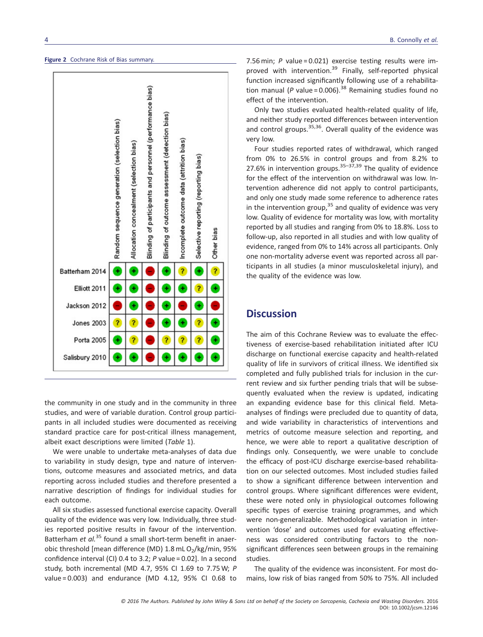#### Figure 2 Cochrane Risk of Bias summary.



the community in one study and in the community in three studies, and were of variable duration. Control group participants in all included studies were documented as receiving standard practice care for post-critical illness management, albeit exact descriptions were limited (Table 1).

We were unable to undertake meta-analyses of data due to variability in study design, type and nature of interventions, outcome measures and associated metrics, and data reporting across included studies and therefore presented a narrative description of findings for individual studies for each outcome.

All six studies assessed functional exercise capacity. Overall quality of the evidence was very low. Individually, three studies reported positive results in favour of the intervention. Batterham et  $al.^{35}$  found a small short-term benefit in anaerobic threshold [mean difference (MD)  $1.8$  mLO<sub>2</sub>/kg/min, 95% confidence interval (CI) 0.4 to 3.2; P value = 0.02]. In a second study, both incremental (MD 4.7, 95% CI 1.69 to 7.75 W; P value = 0.003) and endurance (MD 4.12, 95% CI 0.68 to

7.56 min;  $P$  value = 0.021) exercise testing results were improved with intervention.<sup>39</sup> Finally, self-reported physical function increased significantly following use of a rehabilitation manual (P value = 0.006).<sup>38</sup> Remaining studies found no effect of the intervention.

Only two studies evaluated health-related quality of life, and neither study reported differences between intervention and control groups.  $35,36$ . Overall quality of the evidence was very low.

Four studies reported rates of withdrawal, which ranged from 0% to 26.5% in control groups and from 8.2% to 27.6% in intervention groups. $35-37,39$  The quality of evidence for the effect of the intervention on withdrawal was low. Intervention adherence did not apply to control participants, and only one study made some reference to adherence rates in the intervention group, $35$  and quality of evidence was very low. Quality of evidence for mortality was low, with mortality reported by all studies and ranging from 0% to 18.8%. Loss to follow-up, also reported in all studies and with low quality of evidence, ranged from 0% to 14% across all participants. Only one non-mortality adverse event was reported across all participants in all studies (a minor musculoskeletal injury), and the quality of the evidence was low.

### **Discussion**

The aim of this Cochrane Review was to evaluate the effectiveness of exercise-based rehabilitation initiated after ICU discharge on functional exercise capacity and health-related quality of life in survivors of critical illness. We identified six completed and fully published trials for inclusion in the current review and six further pending trials that will be subsequently evaluated when the review is updated, indicating an expanding evidence base for this clinical field. Metaanalyses of findings were precluded due to quantity of data, and wide variability in characteristics of interventions and metrics of outcome measure selection and reporting, and hence, we were able to report a qualitative description of findings only. Consequently, we were unable to conclude the efficacy of post-ICU discharge exercise-based rehabilitation on our selected outcomes. Most included studies failed to show a significant difference between intervention and control groups. Where significant differences were evident, these were noted only in physiological outcomes following specific types of exercise training programmes, and which were non-generalizable. Methodological variation in intervention 'dose' and outcomes used for evaluating effectiveness was considered contributing factors to the nonsignificant differences seen between groups in the remaining studies.

The quality of the evidence was inconsistent. For most domains, low risk of bias ranged from 50% to 75%. All included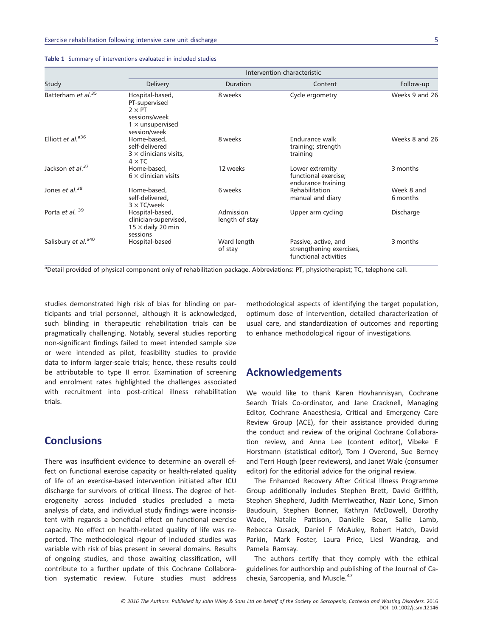| Study                           | Intervention characteristic                                                                                   |                             |                                                                           |                        |
|---------------------------------|---------------------------------------------------------------------------------------------------------------|-----------------------------|---------------------------------------------------------------------------|------------------------|
|                                 | <b>Delivery</b>                                                                                               | Duration                    | Content                                                                   | Follow-up              |
| Batterham et al. <sup>35</sup>  | Hospital-based,<br>PT-supervised<br>$2 \times PT$<br>sessions/week<br>$1 \times$ unsupervised<br>session/week | 8 weeks                     | Cycle ergometry                                                           | Weeks 9 and 26         |
| Elliott et al. $a^{36}$         | Home-based,<br>self-delivered<br>$3 \times$ clinicians visits,<br>$4 \times T$ C                              | 8 weeks                     | Endurance walk<br>training; strength<br>training                          | Weeks 8 and 26         |
| Jackson et al. <sup>37</sup>    | Home-based,<br>$6 \times$ clinician visits                                                                    | 12 weeks                    | Lower extremity<br>functional exercise;<br>endurance training             | 3 months               |
| Jones et al. <sup>38</sup>      | Home-based,<br>self-delivered,<br>$3 \times$ TC/week                                                          | 6 weeks                     | Rehabilitation<br>manual and diary                                        | Week 8 and<br>6 months |
| Porta et al. 39                 | Hospital-based,<br>clinician-supervised,<br>$15 \times$ daily 20 min<br>sessions                              | Admission<br>length of stay | Upper arm cycling                                                         | Discharge              |
| Salisbury et al. <sup>a40</sup> | Hospital-based                                                                                                | Ward length<br>of stay      | Passive, active, and<br>strengthening exercises,<br>functional activities | 3 months               |

#### Table 1 Summary of interventions evaluated in included studies

aDetail provided of physical component only of rehabilitation package. Abbreviations: PT, physiotherapist; TC, telephone call.

studies demonstrated high risk of bias for blinding on participants and trial personnel, although it is acknowledged, such blinding in therapeutic rehabilitation trials can be pragmatically challenging. Notably, several studies reporting non-significant findings failed to meet intended sample size or were intended as pilot, feasibility studies to provide data to inform larger-scale trials; hence, these results could be attributable to type II error. Examination of screening and enrolment rates highlighted the challenges associated with recruitment into post-critical illness rehabilitation trials.

### **Conclusions**

There was insufficient evidence to determine an overall effect on functional exercise capacity or health-related quality of life of an exercise-based intervention initiated after ICU discharge for survivors of critical illness. The degree of heterogeneity across included studies precluded a metaanalysis of data, and individual study findings were inconsistent with regards a beneficial effect on functional exercise capacity. No effect on health-related quality of life was reported. The methodological rigour of included studies was variable with risk of bias present in several domains. Results of ongoing studies, and those awaiting classification, will contribute to a further update of this Cochrane Collaboration systematic review. Future studies must address methodological aspects of identifying the target population, optimum dose of intervention, detailed characterization of usual care, and standardization of outcomes and reporting to enhance methodological rigour of investigations.

### Acknowledgements

We would like to thank Karen Hovhannisyan, Cochrane Search Trials Co-ordinator, and Jane Cracknell, Managing Editor, Cochrane Anaesthesia, Critical and Emergency Care Review Group (ACE), for their assistance provided during the conduct and review of the original Cochrane Collaboration review, and Anna Lee (content editor), Vibeke E Horstmann (statistical editor), Tom J Overend, Sue Berney and Terri Hough (peer reviewers), and Janet Wale (consumer editor) for the editorial advice for the original review.

The Enhanced Recovery After Critical Illness Programme Group additionally includes Stephen Brett, David Griffith, Stephen Shepherd, Judith Merriweather, Nazir Lone, Simon Baudouin, Stephen Bonner, Kathryn McDowell, Dorothy Wade, Natalie Pattison, Danielle Bear, Sallie Lamb, Rebecca Cusack, Daniel F McAuley, Robert Hatch, David Parkin, Mark Foster, Laura Price, Liesl Wandrag, and Pamela Ramsay.

The authors certify that they comply with the ethical guidelines for authorship and publishing of the Journal of Cachexia, Sarcopenia, and Muscle.<sup>47</sup>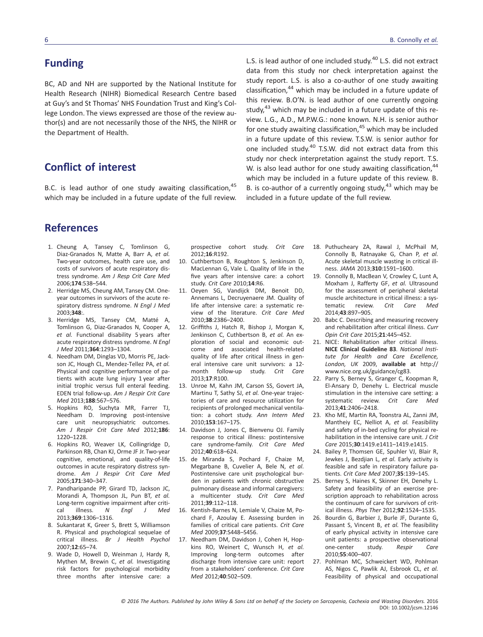### Funding

BC, AD and NH are supported by the National Institute for Health Research (NIHR) Biomedical Research Centre based at Guy's and St Thomas' NHS Foundation Trust and King's College London. The views expressed are those of the review author(s) and are not necessarily those of the NHS, the NIHR or the Department of Health.

### Conflict of interest

B.C. is lead author of one study awaiting classification, 45 which may be included in a future update of the full review. L.S. is lead author of one included study.<sup>40</sup> L.S. did not extract data from this study nor check interpretation against the study report. L.S. is also a co-author of one study awaiting classification, $44$  which may be included in a future update of this review. B.O'N. is lead author of one currently ongoing study,  $43$  which may be included in a future update of this review. L.G., A.D., M.P.W.G.: none known. N.H. is senior author for one study awaiting classification, $45$  which may be included in a future update of this review. T.S.W. is senior author for one included study.<sup>40</sup> T.S.W. did not extract data from this study nor check interpretation against the study report. T.S. W. is also lead author for one study awaiting classification, <sup>44</sup> which may be included in a future update of this review. B. B. is co-author of a currently ongoing study, $43$  which may be included in a future update of the full review.

### **References**

- 1. Cheung A, Tansey C, Tomlinson G, Diaz-Granados N, Matte A, Barr A, et al. Two-year outcomes, health care use, and costs of survivors of acute respiratory distress syndrome. Am J Resp Crit Care Med 2006;174:538–544.
- 2. Herridge MS, Cheung AM, Tansey CM. Oneyear outcomes in survivors of the acute respiratory distress syndrome. N Engl J Med 2003;348:.
- 3. Herridge MS, Tansey CM, Matté A, Tomlinson G, Diaz-Granados N, Cooper A, et al. Functional disability 5 years after acute respiratory distress syndrome. N Engl J Med 2011;364:1293–1304.
- 4. Needham DM, Dinglas VD, Morris PE, Jackson JC, Hough CL, Mendez-Tellez PA, et al. Physical and cognitive performance of patients with acute lung injury 1 year after initial trophic versus full enteral feeding. EDEN trial follow-up. Am J Respir Crit Care Med 2013;188:567–576.
- 5. Hopkins RO, Suchyta MR, Farrer TJ, Needham D. Improving post-intensive care unit neuropsychiatric outcomes. Am J Respir Crit Care Med 2012;186: 1220–1228.
- 6. Hopkins RO, Weaver LK, Collingridge D, Parkinson RB, Chan KJ, Orme JF Jr. Two-year cognitive, emotional, and quality-of-life outcomes in acute respiratory distress syndrome. Am J Respir Crit Care Med 2005;171:340–347.
- 7. Pandharipande PP, Girard TD, Jackson JC, Morandi A, Thompson JL, Pun BT, et al. Long-term cognitive impairment after critical illness. N Engl J Med 2013;369:1306–1316.
- 8. Sukantarat K, Greer S, Brett S, Williamson R. Physical and psychological sequelae of critical illness. Br J Health Psychol 2007;12:65–74.
- 9. Wade D, Howell D, Weinman J, Hardy R, Mythen M, Brewin C, et al. Investigating risk factors for psychological morbidity three months after intensive care: a

prospective cohort study. Crit Care 2012;16:R192.

- 10. Cuthbertson B, Roughton S, Jenkinson D, MacLennan G, Vale L. Quality of life in the five years after intensive care: a cohort study. Crit Care 2010;14:R6.
- 11. Oeyen SG, Vandijck DM, Benoit DD, Annemans L, Decruyenaere JM. Quality of life after intensive care: a systematic review of the literature. Crit Care Med 2010;38:2386–2400.
- 12. Griffiths J, Hatch R, Bishop J, Morgan K, Jenkinson C, Cuthbertson B, et al. An exploration of social and economic outcome and associated health-related quality of life after critical illness in general intensive care unit survivors: a 12 month follow-up study. Crit Care 2013;17:R100.
- 13. Unroe M, Kahn JM, Carson SS, Govert JA, Martinu T, Sathy SJ, et al. One-year trajectories of care and resource utilization for recipients of prolonged mechanical ventilation: a cohort study. Ann Intern Med 2010;153:167–175.
- 14. Davidson J, Jones C, Bienvenu OJ. Family response to critical illness: postintensive care syndrome-family. Crit Care Med 2012;40:618–624.
- 15. de Miranda S, Pochard F, Chaize M, Megarbane B, Cuvelier A, Bele N, et al. Postintensive care unit psychological burden in patients with chronic obstructive pulmonary disease and informal caregivers: a multicenter study. Crit Care Med 2011;39:112–118.
- 16. Kentish-Barnes N, Lemiale V, Chaize M, Pochard F, Azoulay E. Assessing burden in families of critical care patients. Crit Care Med 2009;37:S448–S456.
- 17. Needham DM, Davidson J, Cohen H, Hopkins RO, Weinert C, Wunsch H, et al. Improving long-term outcomes after discharge from intensive care unit: report from a stakeholders' conference. Crit Care Med 2012;40:502–509.
- 18. Puthucheary ZA, Rawal J, McPhail M, Connolly B, Ratnayake G, Chan P, et al. Acute skeletal muscle wasting in critical illness. JAMA 2013;310:1591–1600.
- 19. Connolly B, MacBean V, Crowley C, Lunt A, Moxham J, Rafferty GF, et al. Ultrasound for the assessment of peripheral skeletal muscle architecture in critical illness: a systematic review. Crit Care Med 2014;43:897–905.
- 20. Babc C. Describing and measuring recovery and rehabilitation after critical illness. Curr Opin Crit Care 2015;21:445–452.
- 21. NICE: Rehabilitation after critical illness. NICE Clinical Guideline 83. National Institute for Health and Care Excellence, London, UK 2009, available at [http://](http://www.nice.org.uk/guidance/cg83) [www.nice.org.uk/guidance/cg83.](http://www.nice.org.uk/guidance/cg83)
- 22. Parry S, Berney S, Granger C, Koopman R, El-Ansary D, Denehy L. Electrical muscle stimulation in the intensive care setting: a systematic review. Crit Care Med 2013;41:2406–2418.
- 23. Kho ME, Martin RA, Toonstra AL, Zanni JM, Mantheiy EC, Nelliot A, et al. Feasibility and safety of in-bed cycling for physical rehabilitation in the intensive care unit. J Crit Care 2015;30:1419.e1411–1419.e1415.
- 24. Bailey P, Thomsen GE, Spuhler VJ, Blair R, Jewkes J, Bezdjian L, et al. Early activity is feasible and safe in respiratory failure patients. Crit Care Med 2007;35:139–145.
- 25. Berney S, Haines K, Skinner EH, Denehy L. Safety and feasibility of an exercise prescription approach to rehabilitation across the continuum of care for survivors of critical illness. Phys Ther 2012;92:1524–1535.
- 26. Bourdin G, Barbier J, Burle JF, Durante G, Passant S, Vincent B, et al. The feasibility of early physical activity in intensive care unit patients: a prospective observational one-center study. Respir Care 2010;55:400–407.
- 27. Pohlman MC, Schweickert WD, Pohlman AS, Nigos C, Pawlik AJ, Esbrook CL, et al. Feasibility of physical and occupational